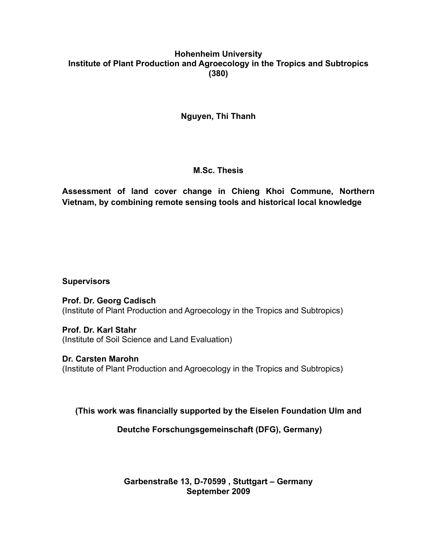### **Hohenheim University Institute of Plant Production and Agroecology in the Tropics and Subtropics (380)**

## **Nguyen, Thi Thanh**

#### **M.Sc. Thesis**

**Assessment of land cover change in Chieng Khoi Commune, Northern Vietnam, by combining remote sensing tools and historical local knowledge**

#### **Supervisors**

**Prof. Dr. Georg Cadisch** (Institute of Plant Production and Agroecology in the Tropics and Subtropics)

**Prof. Dr. Karl Stahr** (Institute of Soil Science and Land Evaluation)

**Dr. Carsten Marohn** (Institute of Plant Production and Agroecology in the Tropics and Subtropics)

**(This work was financially supported by the Eiselen Foundation Ulm and** 

**Deutche Forschungsgemeinschaft (DFG), Germany)** 

**Garbenstraße 13, D-70599 , Stuttgart – Germany September 2009**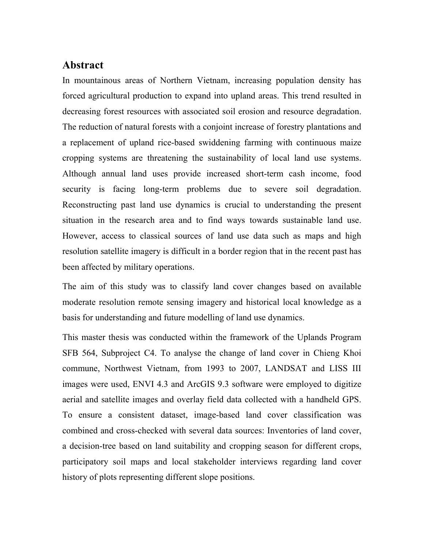# Abstract

In mountainous areas of Northern Vietnam, increasing population density has forced agricultural production to expand into upland areas. This trend resulted in decreasing forest resources with associated soil erosion and resource degradation. The reduction of natural forests with a conjoint increase of forestry plantations and a replacement of upland rice-based swiddening farming with continuous maize cropping systems are threatening the sustainability of local land use systems. Although annual land uses provide increased short-term cash income, food security is facing long-term problems due to severe soil degradation. Reconstructing past land use dynamics is crucial to understanding the present situation in the research area and to find ways towards sustainable land use. However, access to classical sources of land use data such as maps and high resolution satellite imagery is difficult in a border region that in the recent past has been affected by military operations.

The aim of this study was to classify land cover changes based on available moderate resolution remote sensing imagery and historical local knowledge as a basis for understanding and future modelling of land use dynamics.

This master thesis was conducted within the framework of the Uplands Program SFB 564, Subproject C4. To analyse the change of land cover in Chieng Khoi commune, Northwest Vietnam, from 1993 to 2007, LANDSAT and LISS III images were used, ENVI 4.3 and ArcGIS 9.3 software were employed to digitize aerial and satellite images and overlay field data collected with a handheld GPS. To ensure a consistent dataset, image-based land cover classification was combined and cross-checked with several data sources: Inventories of land cover, a decision-tree based on land suitability and cropping season for different crops, participatory soil maps and local stakeholder interviews regarding land cover history of plots representing different slope positions.